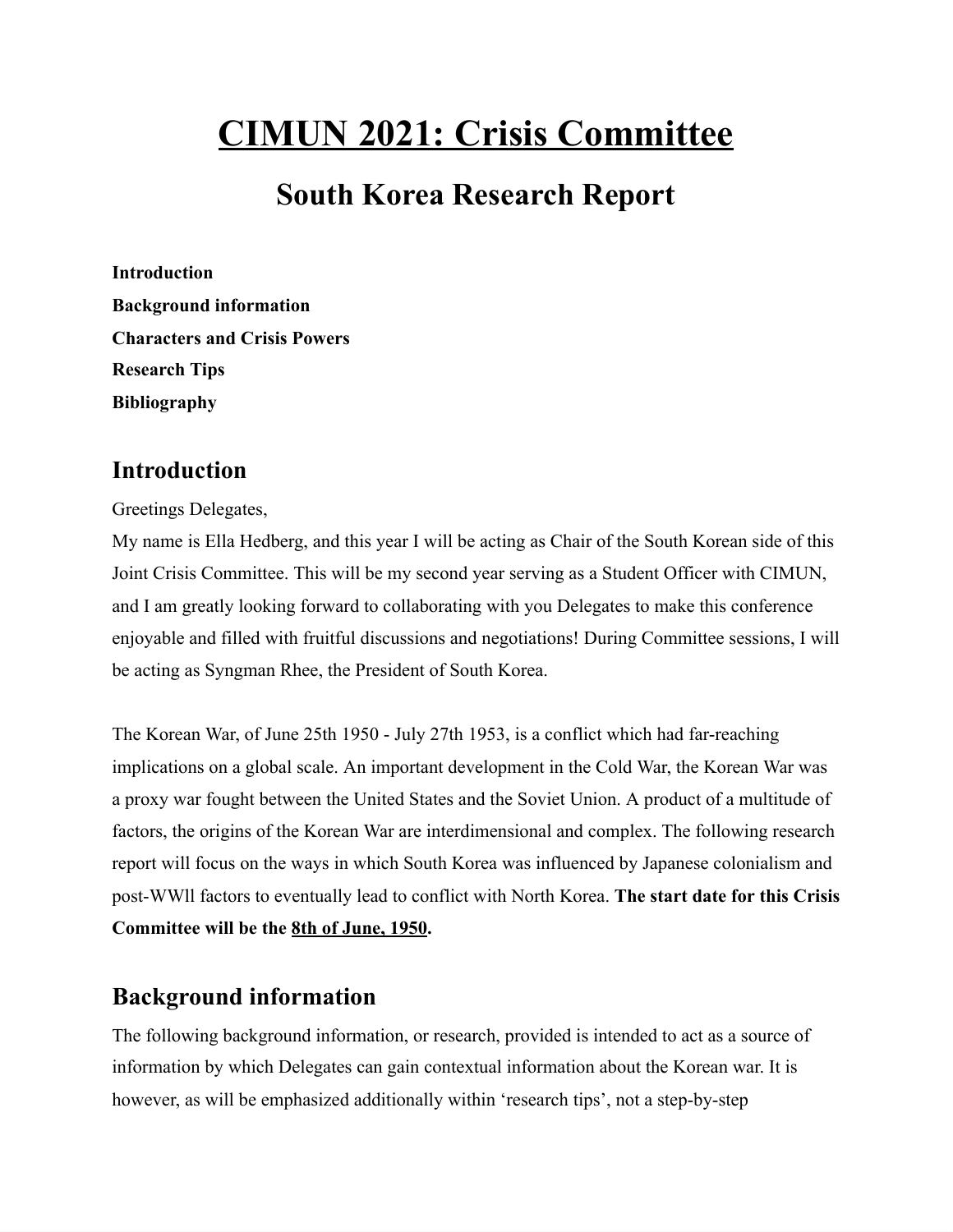# **CIMUN 2021: Crisis Committee**

## **South Korea Research Report**

**Introduction Background information Characters and Crisis Powers Research Tips Bibliography**

## **Introduction**

Greetings Delegates,

My name is Ella Hedberg, and this year I will be acting as Chair of the South Korean side of this Joint Crisis Committee. This will be my second year serving as a Student Officer with CIMUN, and I am greatly looking forward to collaborating with you Delegates to make this conference enjoyable and filled with fruitful discussions and negotiations! During Committee sessions, I will be acting as Syngman Rhee, the President of South Korea.

The Korean War, of June 25th 1950 - July 27th 1953, is a conflict which had far-reaching implications on a global scale. An important development in the Cold War, the Korean War was a proxy war fought between the United States and the Soviet Union. A product of a multitude of factors, the origins of the Korean War are interdimensional and complex. The following research report will focus on the ways in which South Korea was influenced by Japanese colonialism and post-WWll factors to eventually lead to conflict with North Korea. **The start date for this Crisis Committee will be the 8th of June, 1950.**

## **Background information**

The following background information, or research, provided is intended to act as a source of information by which Delegates can gain contextual information about the Korean war. It is however, as will be emphasized additionally within 'research tips', not a step-by-step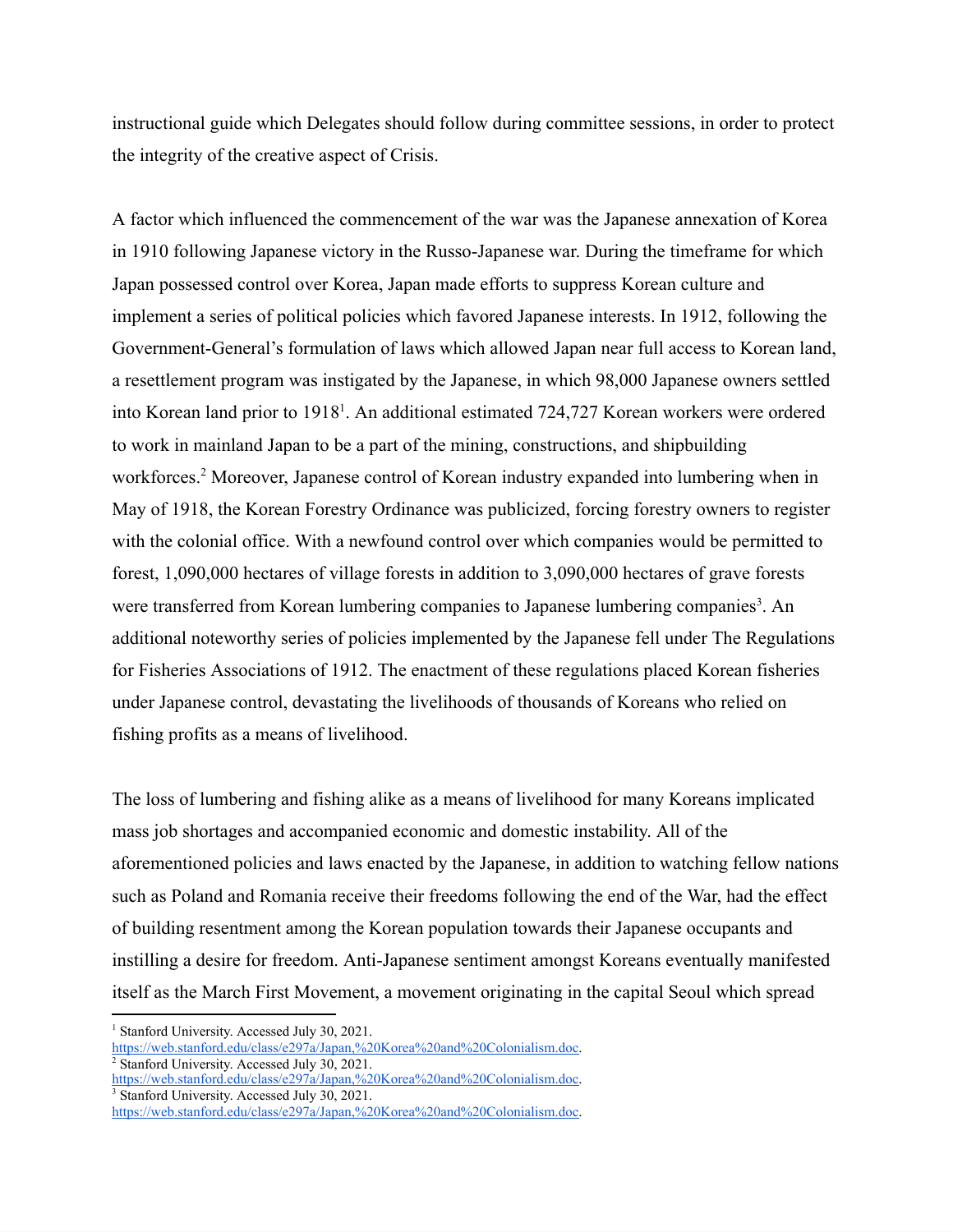instructional guide which Delegates should follow during committee sessions, in order to protect the integrity of the creative aspect of Crisis.

A factor which influenced the commencement of the war was the Japanese annexation of Korea in 1910 following Japanese victory in the Russo-Japanese war. During the timeframe for which Japan possessed control over Korea, Japan made efforts to suppress Korean culture and implement a series of political policies which favored Japanese interests. In 1912, following the Government-General's formulation of laws which allowed Japan near full access to Korean land, a resettlement program was instigated by the Japanese, in which 98,000 Japanese owners settled into Korean land prior to 1918<sup>1</sup>. An additional estimated 724,727 Korean workers were ordered to work in mainland Japan to be a part of the mining, constructions, and shipbuilding workforces.<sup>2</sup> Moreover, Japanese control of Korean industry expanded into lumbering when in May of 1918, the Korean Forestry Ordinance was publicized, forcing forestry owners to register with the colonial office. With a newfound control over which companies would be permitted to forest, 1,090,000 hectares of village forests in addition to 3,090,000 hectares of grave forests were transferred from Korean lumbering companies to Japanese lumbering companies<sup>3</sup>. An additional noteworthy series of policies implemented by the Japanese fell under The Regulations for Fisheries Associations of 1912. The enactment of these regulations placed Korean fisheries under Japanese control, devastating the livelihoods of thousands of Koreans who relied on fishing profits as a means of livelihood.

The loss of lumbering and fishing alike as a means of livelihood for many Koreans implicated mass job shortages and accompanied economic and domestic instability. All of the aforementioned policies and laws enacted by the Japanese, in addition to watching fellow nations such as Poland and Romania receive their freedoms following the end of the War, had the effect of building resentment among the Korean population towards their Japanese occupants and instilling a desire for freedom. Anti-Japanese sentiment amongst Koreans eventually manifested itself as the March First Movement, a movement originating in the capital Seoul which spread

<sup>3</sup> Stanford University. Accessed July 30, 2021.

<sup>&</sup>lt;sup>1</sup> Stanford University. Accessed July 30, 2021.

[https://web.stanford.edu/class/e297a/Japan,%20Korea%20and%20Colonialism.doc.](https://web.stanford.edu/class/e297a/Japan,%20Korea%20and%20Colonialism.doc)

<sup>&</sup>lt;sup>2</sup> Stanford University. Accessed July 30, 2021.

[https://web.stanford.edu/class/e297a/Japan,%20Korea%20and%20Colonialism.doc.](https://web.stanford.edu/class/e297a/Japan,%20Korea%20and%20Colonialism.doc)

[https://web.stanford.edu/class/e297a/Japan,%20Korea%20and%20Colonialism.doc.](https://web.stanford.edu/class/e297a/Japan,%20Korea%20and%20Colonialism.doc)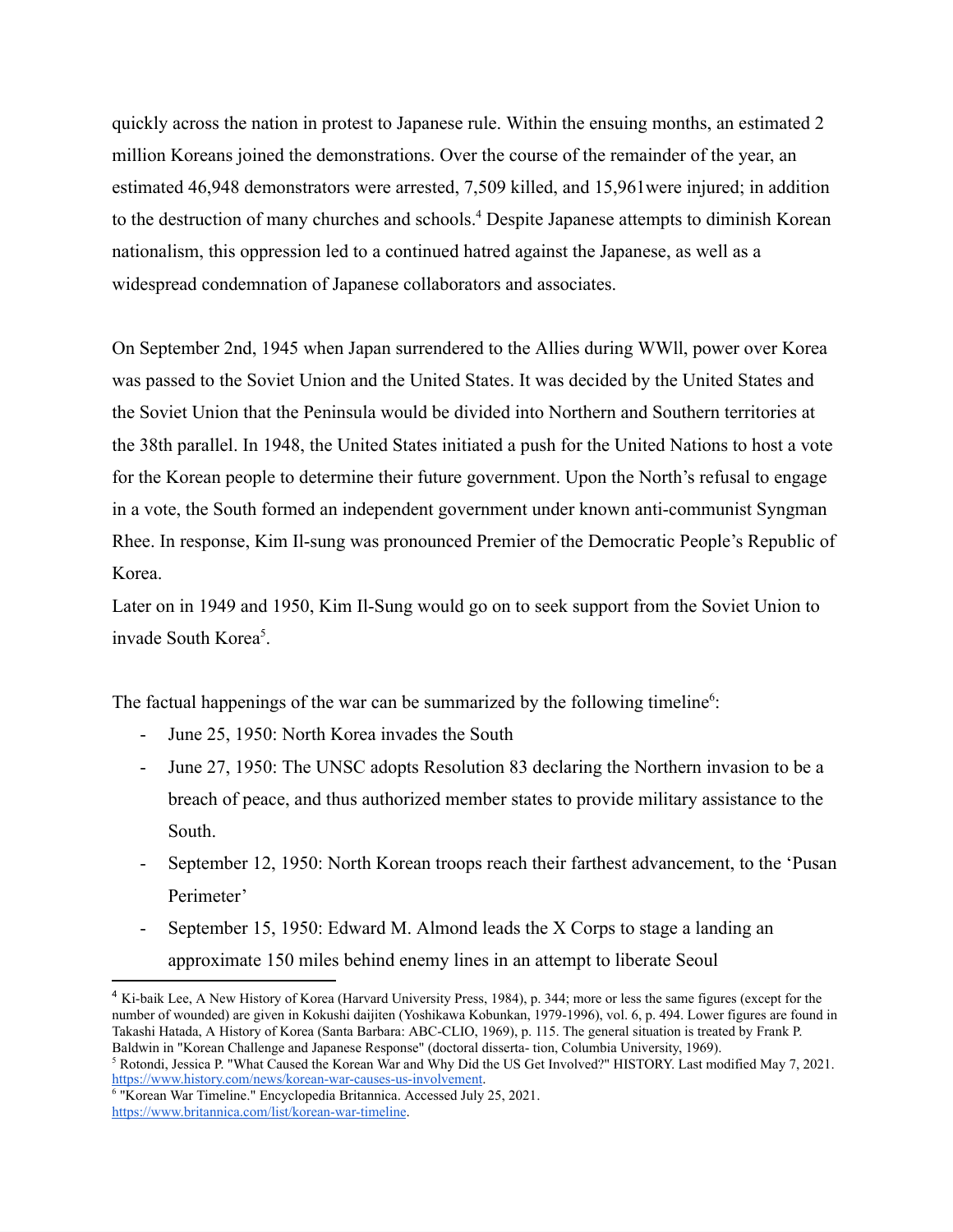quickly across the nation in protest to Japanese rule. Within the ensuing months, an estimated 2 million Koreans joined the demonstrations. Over the course of the remainder of the year, an estimated 46,948 demonstrators were arrested, 7,509 killed, and 15,961were injured; in addition to the destruction of many churches and schools.<sup>4</sup> Despite Japanese attempts to diminish Korean nationalism, this oppression led to a continued hatred against the Japanese, as well as a widespread condemnation of Japanese collaborators and associates.

On September 2nd, 1945 when Japan surrendered to the Allies during WWll, power over Korea was passed to the Soviet Union and the United States. It was decided by the United States and the Soviet Union that the Peninsula would be divided into Northern and Southern territories at the 38th parallel. In 1948, the United States initiated a push for the United Nations to host a vote for the Korean people to determine their future government. Upon the North's refusal to engage in a vote, the South formed an independent government under known anti-communist Syngman Rhee. In response, Kim Il-sung was pronounced Premier of the Democratic People's Republic of Korea.

Later on in 1949 and 1950, Kim Il-Sung would go on to seek support from the Soviet Union to invade South Korea<sup>5</sup>.

The factual happenings of the war can be summarized by the following timeline<sup>6</sup>:

- June 25, 1950: North Korea invades the South
- June 27, 1950: The UNSC adopts Resolution 83 declaring the Northern invasion to be a breach of peace, and thus authorized member states to provide military assistance to the South.
- September 12, 1950: North Korean troops reach their farthest advancement, to the 'Pusan Perimeter'
- September 15, 1950: Edward M. Almond leads the X Corps to stage a landing an approximate 150 miles behind enemy lines in an attempt to liberate Seoul

<sup>4</sup> Ki-baik Lee, A New History of Korea (Harvard University Press, 1984), p. 344; more or less the same figures (except for the number of wounded) are given in Kokushi daijiten (Yoshikawa Kobunkan, 1979-1996), vol. 6, p. 494. Lower figures are found in Takashi Hatada, A History of Korea (Santa Barbara: ABC-CLIO, 1969), p. 115. The general situation is treated by Frank P. Baldwin in "Korean Challenge and Japanese Response" (doctoral disserta- tion, Columbia University, 1969).

<sup>5</sup> Rotondi, Jessica P. "What Caused the Korean War and Why Did the US Get Involved?" HISTORY. Last modified May 7, 2021. <https://www.history.com/news/korean-war-causes-us-involvement>.

<sup>6</sup> "Korean War Timeline." Encyclopedia Britannica. Accessed July 25, 2021. <https://www.britannica.com/list/korean-war-timeline>.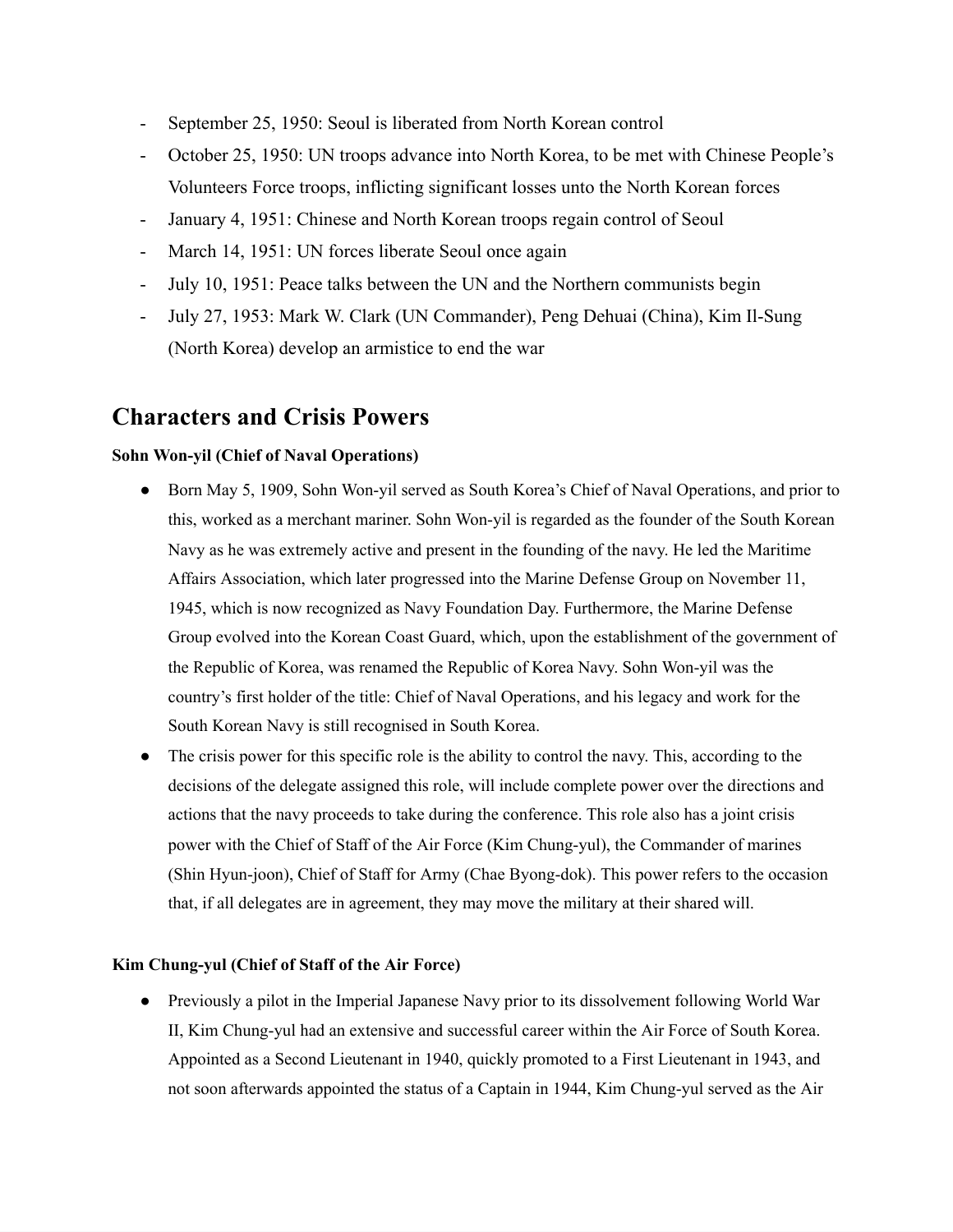- September 25, 1950: Seoul is liberated from North Korean control
- October 25, 1950: UN troops advance into North Korea, to be met with Chinese People's Volunteers Force troops, inflicting significant losses unto the North Korean forces
- January 4, 1951: Chinese and North Korean troops regain control of Seoul
- March 14, 1951: UN forces liberate Seoul once again
- July 10, 1951: Peace talks between the UN and the Northern communists begin
- July 27, 1953: Mark W. Clark (UN Commander), Peng Dehuai (China), Kim Il-Sung (North Korea) develop an armistice to end the war

## **Characters and Crisis Powers**

#### **Sohn Won-yil (Chief of Naval Operations)**

- Born May 5, 1909, Sohn Won-yil served as South Korea's Chief of Naval Operations, and prior to this, worked as a merchant mariner. Sohn Won-yil is regarded as the founder of the South Korean Navy as he was extremely active and present in the founding of the navy. He led the Maritime Affairs Association, which later progressed into the Marine Defense Group on November 11, 1945, which is now recognized as Navy Foundation Day. Furthermore, the Marine Defense Group evolved into the Korean Coast Guard, which, upon the establishment of the government of the Republic of Korea, was renamed the Republic of Korea Navy. Sohn Won-yil was the country's first holder of the title: Chief of Naval Operations, and his legacy and work for the South Korean Navy is still recognised in South Korea.
- The crisis power for this specific role is the ability to control the navy. This, according to the decisions of the delegate assigned this role, will include complete power over the directions and actions that the navy proceeds to take during the conference. This role also has a joint crisis power with the Chief of Staff of the Air Force (Kim Chung-yul), the Commander of marines (Shin Hyun-joon), Chief of Staff for Army (Chae Byong-dok). This power refers to the occasion that, if all delegates are in agreement, they may move the military at their shared will.

#### **Kim Chung-yul (Chief of Staff of the Air Force)**

• Previously a pilot in the Imperial Japanese Navy prior to its dissolvement following World War II, Kim Chung-yul had an extensive and successful career within the Air Force of South Korea. Appointed as a Second Lieutenant in 1940, quickly promoted to a First Lieutenant in 1943, and not soon afterwards appointed the status of a Captain in 1944, Kim Chung-yul served as the Air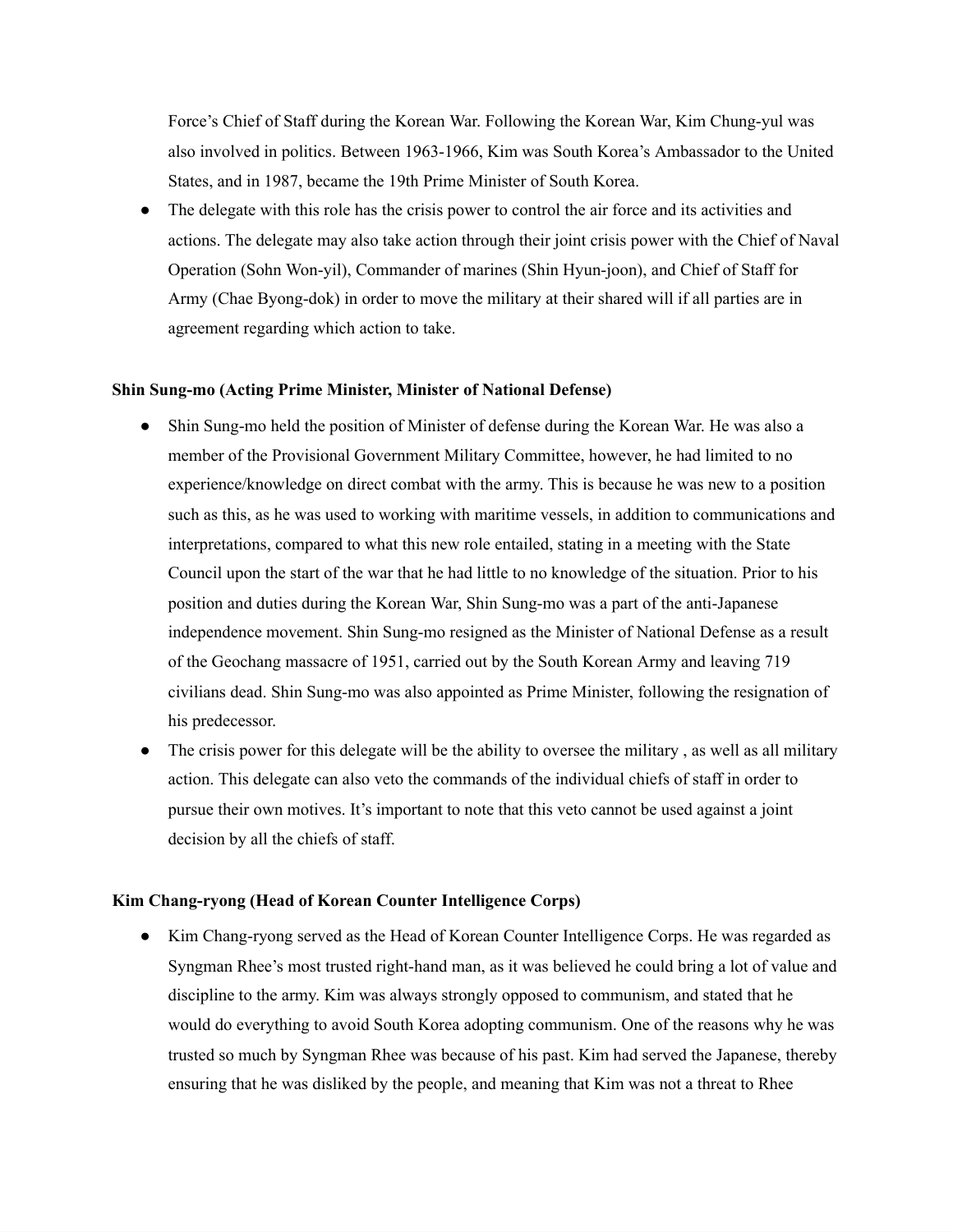Force's Chief of Staff during the Korean War. Following the Korean War, Kim Chung-yul was also involved in politics. Between 1963-1966, Kim was South Korea's Ambassador to the United States, and in 1987, became the 19th Prime Minister of South Korea.

The delegate with this role has the crisis power to control the air force and its activities and actions. The delegate may also take action through their joint crisis power with the Chief of Naval Operation (Sohn Won-yil), Commander of marines (Shin Hyun-joon), and Chief of Staff for Army (Chae Byong-dok) in order to move the military at their shared will if all parties are in agreement regarding which action to take.

#### **Shin Sung-mo (Acting Prime Minister, Minister of National Defense)**

- Shin Sung-mo held the position of Minister of defense during the Korean War. He was also a member of the Provisional Government Military Committee, however, he had limited to no experience/knowledge on direct combat with the army. This is because he was new to a position such as this, as he was used to working with maritime vessels, in addition to communications and interpretations, compared to what this new role entailed, stating in a meeting with the State Council upon the start of the war that he had little to no knowledge of the situation. Prior to his position and duties during the Korean War, Shin Sung-mo was a part of the anti-Japanese independence movement. Shin Sung-mo resigned as the Minister of National Defense as a result of the Geochang massacre of 1951, carried out by the South Korean Army and leaving 719 civilians dead. Shin Sung-mo was also appointed as Prime Minister, following the resignation of his predecessor.
- The crisis power for this delegate will be the ability to oversee the military, as well as all military action. This delegate can also veto the commands of the individual chiefs of staff in order to pursue their own motives. It's important to note that this veto cannot be used against a joint decision by all the chiefs of staff.

#### **Kim Chang-ryong (Head of Korean Counter Intelligence Corps)**

• Kim Chang-ryong served as the Head of Korean Counter Intelligence Corps. He was regarded as Syngman Rhee's most trusted right-hand man, as it was believed he could bring a lot of value and discipline to the army. Kim was always strongly opposed to communism, and stated that he would do everything to avoid South Korea adopting communism. One of the reasons why he was trusted so much by Syngman Rhee was because of his past. Kim had served the Japanese, thereby ensuring that he was disliked by the people, and meaning that Kim was not a threat to Rhee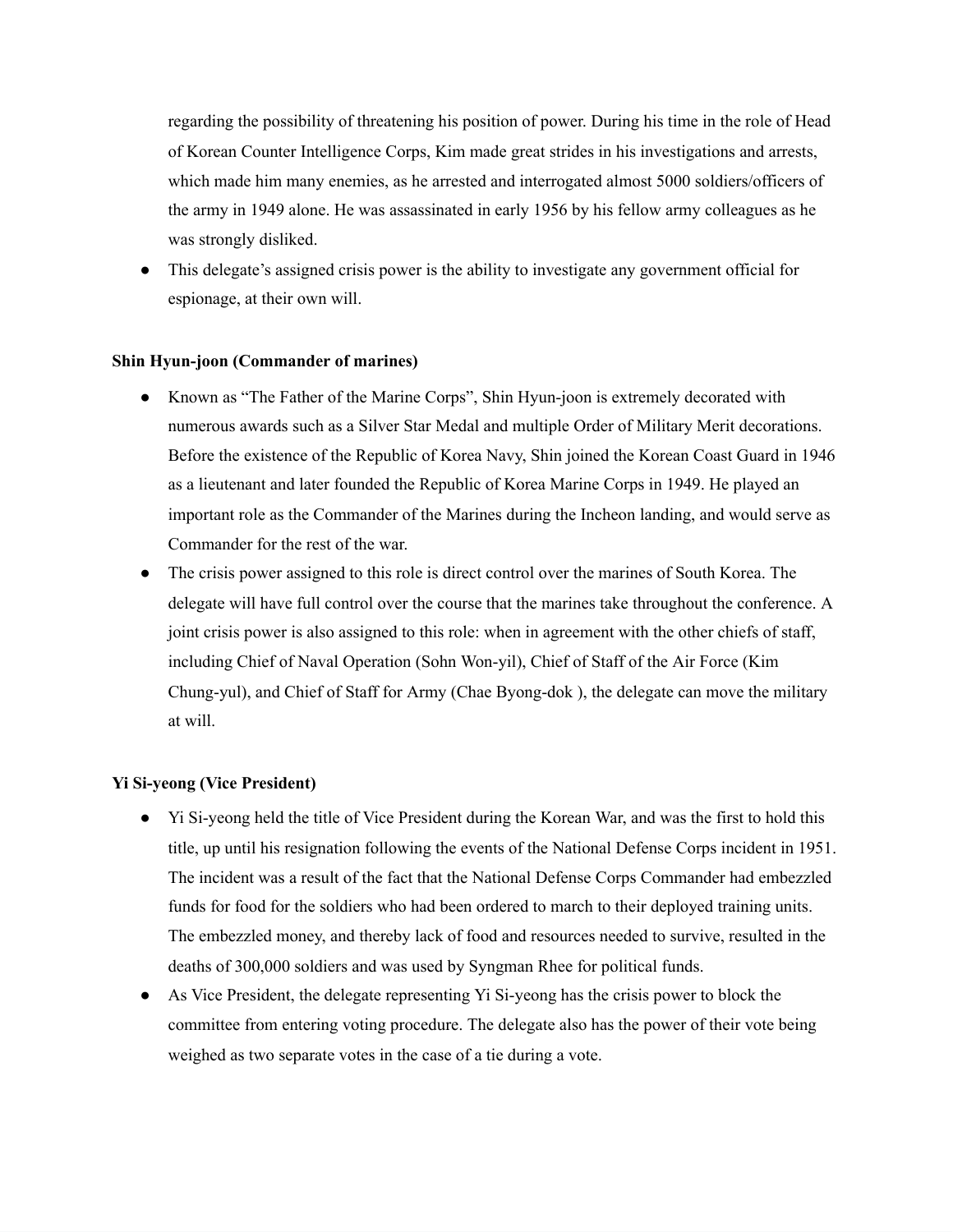regarding the possibility of threatening his position of power. During his time in the role of Head of Korean Counter Intelligence Corps, Kim made great strides in his investigations and arrests, which made him many enemies, as he arrested and interrogated almost 5000 soldiers/officers of the army in 1949 alone. He was assassinated in early 1956 by his fellow army colleagues as he was strongly disliked.

● This delegate's assigned crisis power is the ability to investigate any government official for espionage, at their own will.

#### **Shin Hyun-joon (Commander of marines)**

- Known as "The Father of the Marine Corps", Shin Hyun-joon is extremely decorated with numerous awards such as a Silver Star Medal and multiple Order of Military Merit decorations. Before the existence of the Republic of Korea Navy, Shin joined the Korean Coast Guard in 1946 as a lieutenant and later founded the Republic of Korea Marine Corps in 1949. He played an important role as the Commander of the Marines during the Incheon landing, and would serve as Commander for the rest of the war.
- The crisis power assigned to this role is direct control over the marines of South Korea. The delegate will have full control over the course that the marines take throughout the conference. A joint crisis power is also assigned to this role: when in agreement with the other chiefs of staff, including Chief of Naval Operation (Sohn Won-yil), Chief of Staff of the Air Force (Kim Chung-yul), and Chief of Staff for Army (Chae Byong-dok ), the delegate can move the military at will.

#### **Yi Si-yeong (Vice President)**

- **●** Yi Si-yeong held the title of Vice President during the Korean War, and was the first to hold this title, up until his resignation following the events of the National Defense Corps incident in 1951. The incident was a result of the fact that the National Defense Corps Commander had embezzled funds for food for the soldiers who had been ordered to march to their deployed training units. The embezzled money, and thereby lack of food and resources needed to survive, resulted in the deaths of 300,000 soldiers and was used by Syngman Rhee for political funds.
- **●** As Vice President, the delegate representing Yi Si-yeong has the crisis power to block the committee from entering voting procedure. The delegate also has the power of their vote being weighed as two separate votes in the case of a tie during a vote.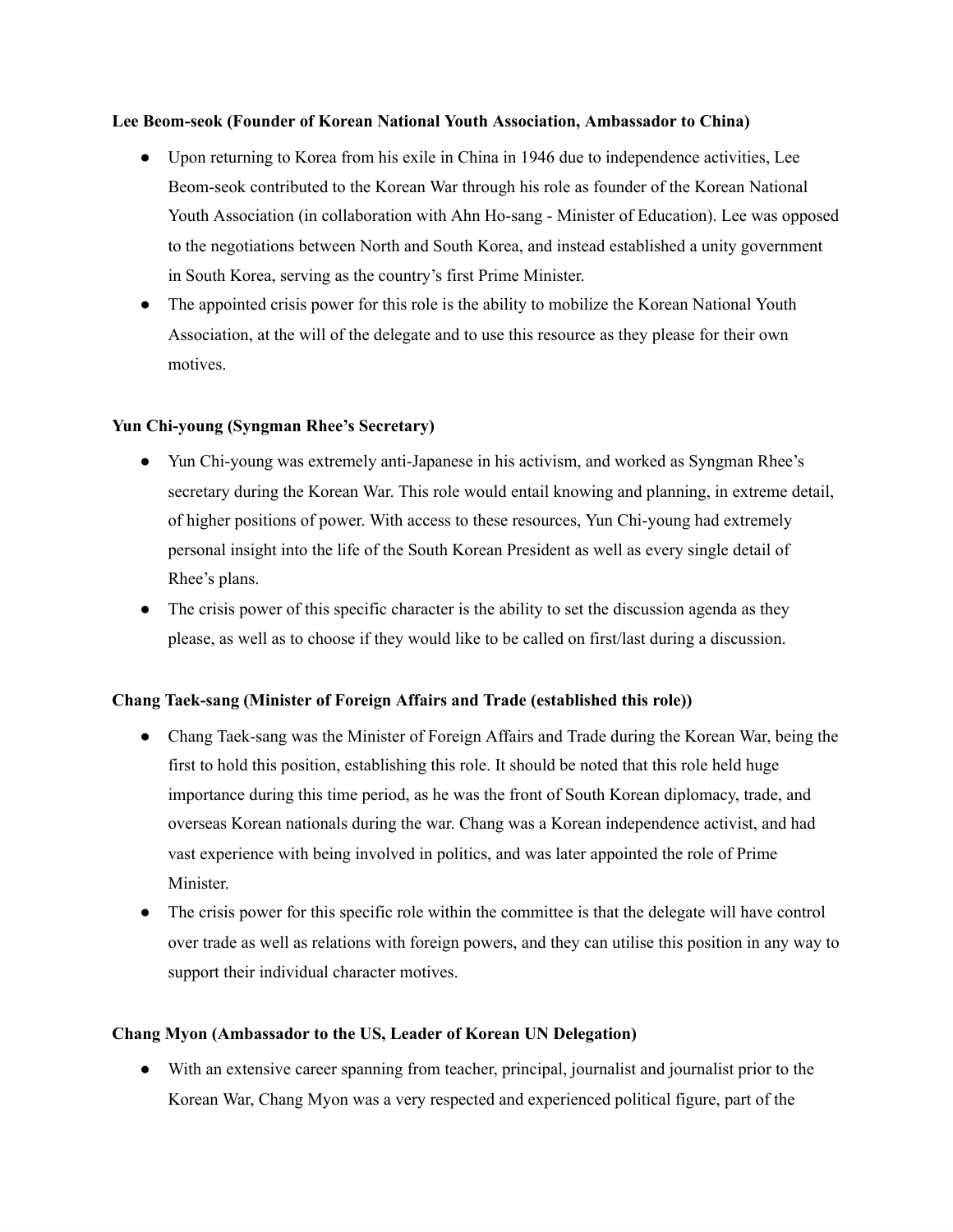#### **Lee Beom-seok (Founder of Korean National Youth Association, Ambassador to China)**

- Upon returning to Korea from his exile in China in 1946 due to independence activities, Lee Beom-seok contributed to the Korean War through his role as founder of the Korean National Youth Association (in collaboration with Ahn Ho-sang - Minister of Education). Lee was opposed to the negotiations between North and South Korea, and instead established a unity government in South Korea, serving as the country's first Prime Minister.
- The appointed crisis power for this role is the ability to mobilize the Korean National Youth Association, at the will of the delegate and to use this resource as they please for their own motives.

#### **Yun Chi-young (Syngman Rhee's Secretary)**

- Yun Chi-young was extremely anti-Japanese in his activism, and worked as Syngman Rhee's secretary during the Korean War. This role would entail knowing and planning, in extreme detail, of higher positions of power. With access to these resources, Yun Chi-young had extremely personal insight into the life of the South Korean President as well as every single detail of Rhee's plans.
- The crisis power of this specific character is the ability to set the discussion agenda as they please, as well as to choose if they would like to be called on first/last during a discussion.

#### **Chang Taek-sang (Minister of Foreign Affairs and Trade (established this role))**

- Chang Taek-sang was the Minister of Foreign Affairs and Trade during the Korean War, being the first to hold this position, establishing this role. It should be noted that this role held huge importance during this time period, as he was the front of South Korean diplomacy, trade, and overseas Korean nationals during the war. Chang was a Korean independence activist, and had vast experience with being involved in politics, and was later appointed the role of Prime Minister.
- The crisis power for this specific role within the committee is that the delegate will have control over trade as well as relations with foreign powers, and they can utilise this position in any way to support their individual character motives.

#### **Chang Myon (Ambassador to the US, Leader of Korean UN Delegation)**

● With an extensive career spanning from teacher, principal, journalist and journalist prior to the Korean War, Chang Myon was a very respected and experienced political figure, part of the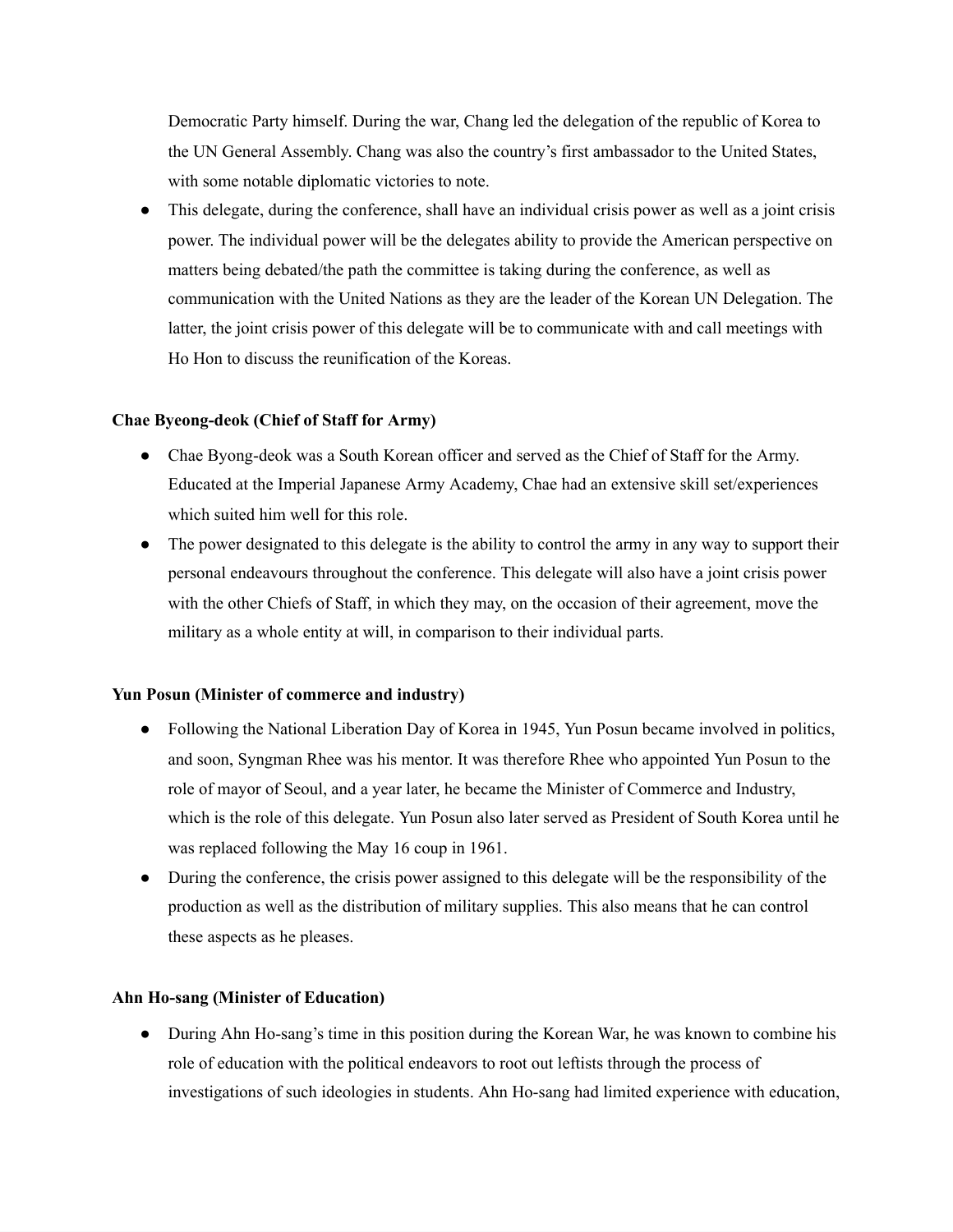Democratic Party himself. During the war, Chang led the delegation of the republic of Korea to the UN General Assembly. Chang was also the country's first ambassador to the United States, with some notable diplomatic victories to note.

This delegate, during the conference, shall have an individual crisis power as well as a joint crisis power. The individual power will be the delegates ability to provide the American perspective on matters being debated/the path the committee is taking during the conference, as well as communication with the United Nations as they are the leader of the Korean UN Delegation. The latter, the joint crisis power of this delegate will be to communicate with and call meetings with Ho Hon to discuss the reunification of the Koreas.

#### **Chae Byeong-deok (Chief of Staff for Army)**

- Chae Byong-deok was a South Korean officer and served as the Chief of Staff for the Army. Educated at the Imperial Japanese Army Academy, Chae had an extensive skill set/experiences which suited him well for this role.
- The power designated to this delegate is the ability to control the army in any way to support their personal endeavours throughout the conference. This delegate will also have a joint crisis power with the other Chiefs of Staff, in which they may, on the occasion of their agreement, move the military as a whole entity at will, in comparison to their individual parts.

#### **Yun Posun (Minister of commerce and industry)**

- Following the National Liberation Day of Korea in 1945, Yun Posun became involved in politics, and soon, Syngman Rhee was his mentor. It was therefore Rhee who appointed Yun Posun to the role of mayor of Seoul, and a year later, he became the Minister of Commerce and Industry, which is the role of this delegate. Yun Posun also later served as President of South Korea until he was replaced following the May 16 coup in 1961.
- During the conference, the crisis power assigned to this delegate will be the responsibility of the production as well as the distribution of military supplies. This also means that he can control these aspects as he pleases.

#### **Ahn Ho-sang (Minister of Education)**

• During Ahn Ho-sang's time in this position during the Korean War, he was known to combine his role of education with the political endeavors to root out leftists through the process of investigations of such ideologies in students. Ahn Ho-sang had limited experience with education,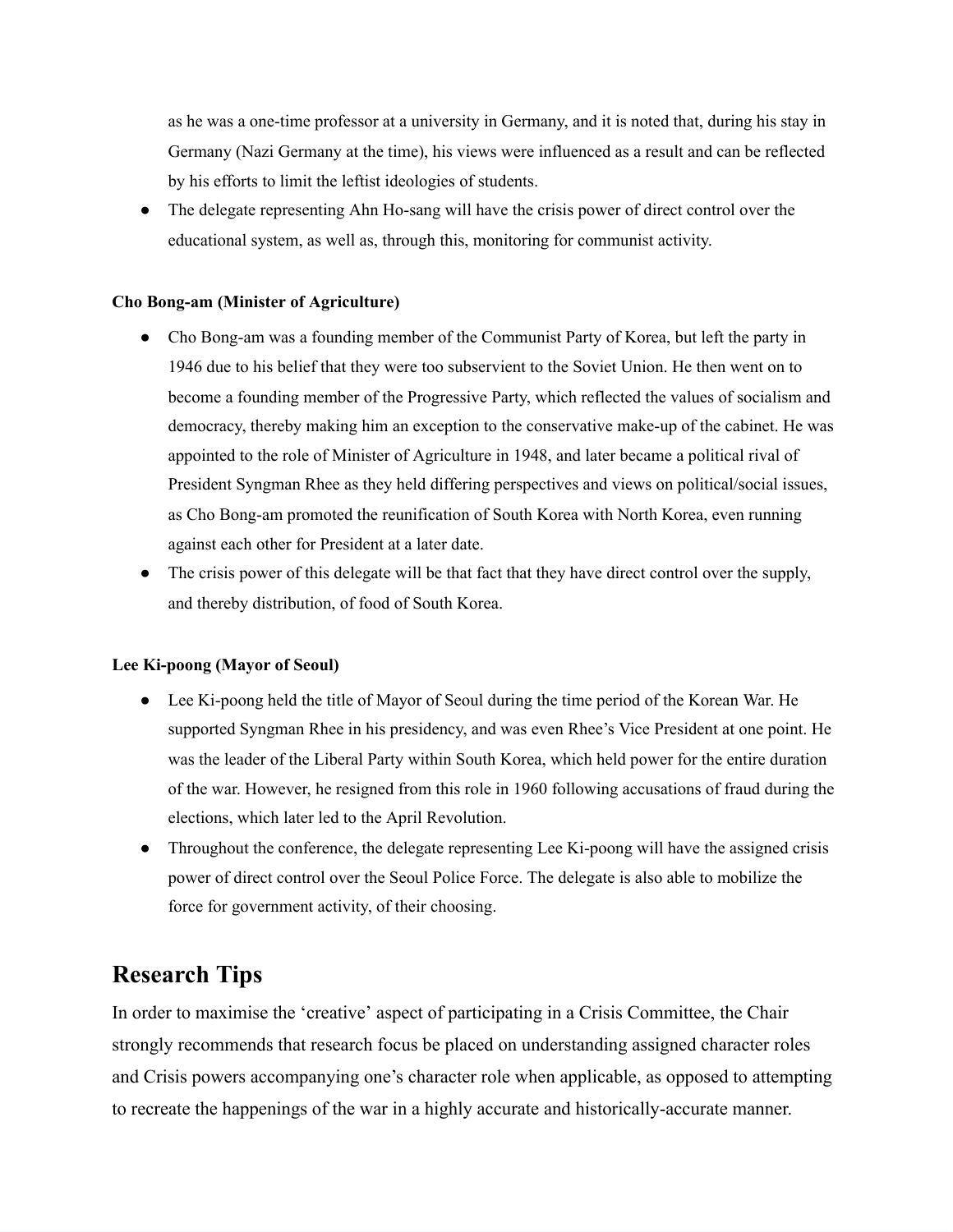as he was a one-time professor at a university in Germany, and it is noted that, during his stay in Germany (Nazi Germany at the time), his views were influenced as a result and can be reflected by his efforts to limit the leftist ideologies of students.

• The delegate representing Ahn Ho-sang will have the crisis power of direct control over the educational system, as well as, through this, monitoring for communist activity.

#### **Cho Bong-am (Minister of Agriculture)**

- Cho Bong-am was a founding member of the Communist Party of Korea, but left the party in 1946 due to his belief that they were too subservient to the Soviet Union. He then went on to become a founding member of the Progressive Party, which reflected the values of socialism and democracy, thereby making him an exception to the conservative make-up of the cabinet. He was appointed to the role of Minister of Agriculture in 1948, and later became a political rival of President Syngman Rhee as they held differing perspectives and views on political/social issues, as Cho Bong-am promoted the reunification of South Korea with North Korea, even running against each other for President at a later date.
- The crisis power of this delegate will be that fact that they have direct control over the supply, and thereby distribution, of food of South Korea.

#### **Lee Ki-poong (Mayor of Seoul)**

- Lee Ki-poong held the title of Mayor of Seoul during the time period of the Korean War. He supported Syngman Rhee in his presidency, and was even Rhee's Vice President at one point. He was the leader of the Liberal Party within South Korea, which held power for the entire duration of the war. However, he resigned from this role in 1960 following accusations of fraud during the elections, which later led to the April Revolution.
- Throughout the conference, the delegate representing Lee Ki-poong will have the assigned crisis power of direct control over the Seoul Police Force. The delegate is also able to mobilize the force for government activity, of their choosing.

## **Research Tips**

In order to maximise the 'creative' aspect of participating in a Crisis Committee, the Chair strongly recommends that research focus be placed on understanding assigned character roles and Crisis powers accompanying one's character role when applicable, as opposed to attempting to recreate the happenings of the war in a highly accurate and historically-accurate manner.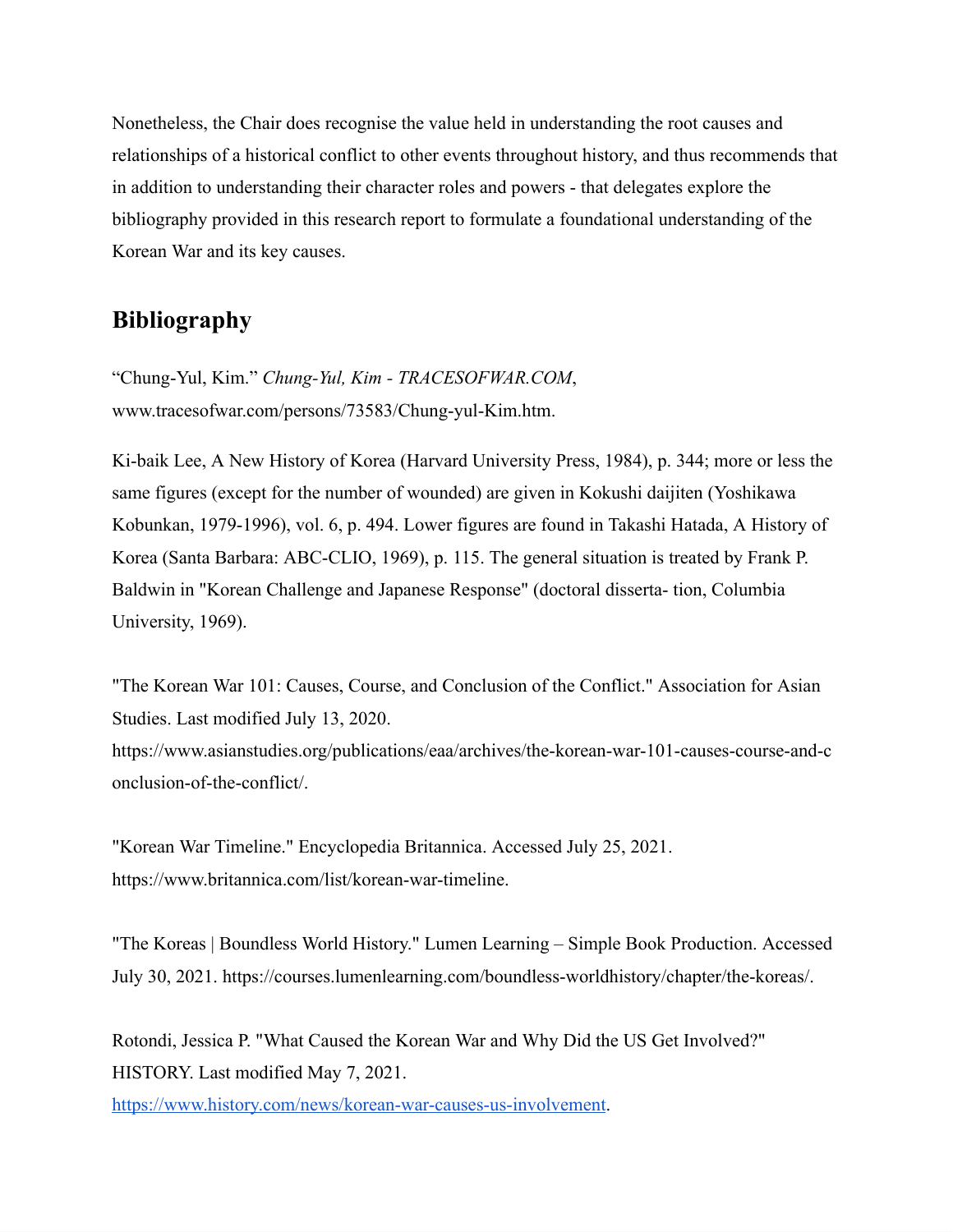Nonetheless, the Chair does recognise the value held in understanding the root causes and relationships of a historical conflict to other events throughout history, and thus recommends that in addition to understanding their character roles and powers - that delegates explore the bibliography provided in this research report to formulate a foundational understanding of the Korean War and its key causes.

## **Bibliography**

"Chung-Yul, Kim." *Chung-Yul, Kim - TRACESOFWAR.COM*, www.tracesofwar.com/persons/73583/Chung-yul-Kim.htm.

Ki-baik Lee, A New History of Korea (Harvard University Press, 1984), p. 344; more or less the same figures (except for the number of wounded) are given in Kokushi daijiten (Yoshikawa Kobunkan, 1979-1996), vol. 6, p. 494. Lower figures are found in Takashi Hatada, A History of Korea (Santa Barbara: ABC-CLIO, 1969), p. 115. The general situation is treated by Frank P. Baldwin in "Korean Challenge and Japanese Response" (doctoral disserta- tion, Columbia University, 1969).

"The Korean War 101: Causes, Course, and Conclusion of the Conflict." Association for Asian Studies. Last modified July 13, 2020.

https://www.asianstudies.org/publications/eaa/archives/the-korean-war-101-causes-course-and-c onclusion-of-the-conflict/.

"Korean War Timeline." Encyclopedia Britannica. Accessed July 25, 2021. https://www.britannica.com/list/korean-war-timeline.

"The Koreas | Boundless World History." Lumen Learning – Simple Book Production. Accessed July 30, 2021. https://courses.lumenlearning.com/boundless-worldhistory/chapter/the-koreas/.

Rotondi, Jessica P. "What Caused the Korean War and Why Did the US Get Involved?" HISTORY. Last modified May 7, 2021.

<https://www.history.com/news/korean-war-causes-us-involvement>.